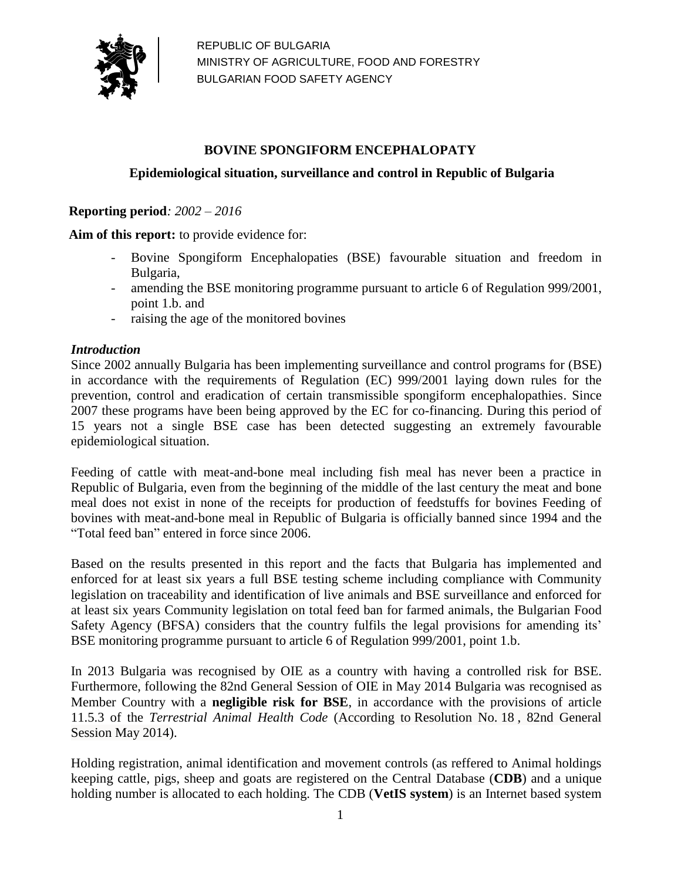

## **BOVINE SPONGIFORM ENCEPHALOPATY**

## **Epidemiological situation, surveillance and control in Republic of Bulgaria**

**Reporting period***: 2002 – 2016*

**Aim of this report:** to provide evidence for:

- Bovine Spongiform Encephalopaties (BSE) favourable situation and freedom in Bulgaria,
- amending the BSE monitoring programme pursuant to article 6 of Regulation 999/2001, point 1.b. and
- raising the age of the monitored bovines

#### *Introduction*

Since 2002 annually Bulgaria has been implementing surveillance and control programs for (BSE) in accordance with the requirements of Regulation (EC) 999/2001 laying down rules for the prevention, control and eradication of certain transmissible spongiform encephalopathies. Since 2007 these programs have been being approved by the EC for co-financing. During this period of 15 years not a single BSE case has been detected suggesting an extremely favourable epidemiological situation.

Feeding of cattle with meat-and-bone meal including fish meal has never been a practice in Republic of Bulgaria, even from the beginning of the middle of the last century the meat and bone meal does not exist in none of the receipts for production of feedstuffs for bovines Feeding of bovines with meat-and-bone meal in Republic of Bulgaria is officially banned since 1994 and the "Total feed ban" entered in force since 2006.

Based on the results presented in this report and the facts that Bulgaria has implemented and enforced for at least six years a full BSE testing scheme including compliance with Community legislation on traceability and identification of live animals and BSE surveillance and enforced for at least six years Community legislation on total feed ban for farmed animals, the Bulgarian Food Safety Agency (BFSA) considers that the country fulfils the legal provisions for amending its' BSE monitoring programme pursuant to article 6 of Regulation 999/2001, point 1.b.

In 2013 Bulgaria was recognised by OIE as a country with having a controlled risk for BSE. Furthermore, following the 82nd General Session of OIE in May 2014 Bulgaria was recognised as Member Country with a **negligible risk for BSE**, in accordance with the provisions of article 11.5.3 of the *Terrestrial Animal Health Code* (According to [Resolution No.](http://www.oie.int/fileadmin/Home/eng/Animal_Health_in_the_World/docs/pdf/2014_A_RESO-18_BSE.pdf) 18 , 82nd General Session May 2014).

Holding registration, animal identification and movement controls (as reffered to Animal holdings keeping cattle, pigs, sheep and goats are registered on the Central Database (**CDB**) and a unique holding number is allocated to each holding. The CDB (**VetIS system**) is an Internet based system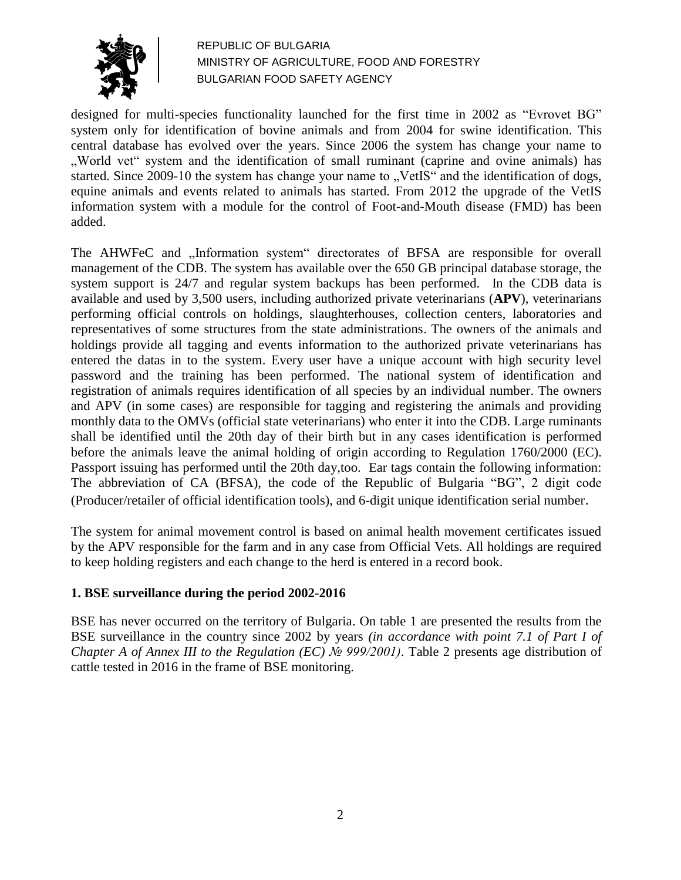

designed for multi-species functionality launched for the first time in 2002 as "Evrovet BG" system only for identification of bovine animals and from 2004 for swine identification. This central database has evolved over the years. Since 2006 the system has change your name to ., World vet" system and the identification of small ruminant (caprine and ovine animals) has started. Since 2009-10 the system has change your name to "VetIS" and the identification of dogs, equine animals and events related to animals has started. From 2012 the upgrade of the VetIS information system with a module for the control of Foot-and-Mouth disease (FMD) has been added.

The AHWFeC and "Information system" directorates of BFSA are responsible for overall management of the CDB. The system has available over the 650 GB principal database storage, the system support is 24/7 and regular system backups has been performed. In the CDB data is available and used by 3,500 users, including authorized private veterinarians (**APV**), veterinarians performing official controls on holdings, slaughterhouses, collection centers, laboratories and representatives of some structures from the state administrations. The owners of the animals and holdings provide all tagging and events information to the authorized private veterinarians has entered the datas in to the system. Every user have a unique account with high security level password and the training has been performed. The national system of identification and registration of animals requires identification of all species by an individual number. The owners and APV (in some cases) are responsible for tagging and registering the animals and providing monthly data to the OMVs (official state veterinarians) who enter it into the CDB. Large ruminants shall be identified until the 20th day of their birth but in any cases identification is performed before the animals leave the animal holding of origin according to Regulation 1760/2000 (EC). Passport issuing has performed until the 20th day,too. Ear tags contain the following information: The abbreviation of CA (BFSA), the code of the Republic of Bulgaria "BG", 2 digit code (Producer/retailer of official identification tools), and 6-digit unique identification serial number.

The system for animal movement control is based on animal health movement certificates issued by the APV responsible for the farm and in any case from Official Vets. All holdings are required to keep holding registers and each change to the herd is entered in a record book.

## **1. BSE surveillance during the period 2002-2016**

BSE has never occurred on the territory of Bulgaria. On table 1 are presented the results from the BSE surveillance in the country since 2002 by years *(in accordance with point 7.1 of Part I of Chapter A of Annex III to the Regulation (EC) № 999/2001)*. Table 2 presents age distribution of cattle tested in 2016 in the frame of BSE monitoring.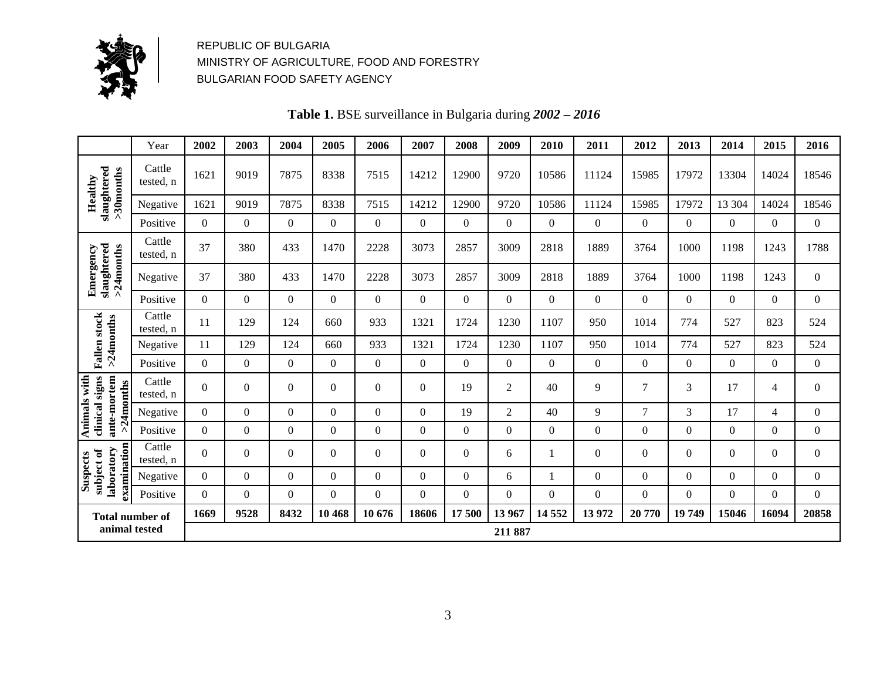

**Table 1.** BSE surveillance in Bulgaria during *2002 – 2016*

|                                                            | Year                   | 2002             | 2003             | 2004             | 2005             | 2006           | 2007           | 2008             | 2009             | 2010             | 2011           | 2012             | 2013             | 2014             | 2015             | 2016             |
|------------------------------------------------------------|------------------------|------------------|------------------|------------------|------------------|----------------|----------------|------------------|------------------|------------------|----------------|------------------|------------------|------------------|------------------|------------------|
| slaughtered<br>>30months<br>Healthy                        | Cattle<br>tested, n    | 1621             | 9019             | 7875             | 8338             | 7515           | 14212          | 12900            | 9720             | 10586            | 11124          | 15985            | 17972            | 13304            | 14024            | 18546            |
|                                                            | Negative               | 1621             | 9019             | 7875             | 8338             | 7515           | 14212          | 12900            | 9720             | 10586            | 11124          | 15985            | 17972            | 13 304           | 14024            | 18546            |
|                                                            | Positive               | $\mathbf{0}$     | $\boldsymbol{0}$ | $\overline{0}$   | $\overline{0}$   | $\overline{0}$ | $\overline{0}$ | $\overline{0}$   | $\overline{0}$   | $\mathbf{0}$     | $\overline{0}$ | $\mathbf{0}$     | $\mathbf{0}$     | $\overline{0}$   | $\theta$         | $\boldsymbol{0}$ |
|                                                            | Cattle<br>tested, n    | 37               | 380              | 433              | 1470             | 2228           | 3073           | 2857             | 3009             | 2818             | 1889           | 3764             | 1000             | 1198             | 1243             | 1788             |
| slaughtered<br>>24months<br>Emergency                      | Negative               | 37               | 380              | 433              | 1470             | 2228           | 3073           | 2857             | 3009             | 2818             | 1889           | 3764             | 1000             | 1198             | 1243             | $\boldsymbol{0}$ |
|                                                            | Positive               | $\Omega$         | $\mathbf{0}$     | $\Omega$         | $\Omega$         | $\Omega$       | $\Omega$       | $\overline{0}$   | $\boldsymbol{0}$ | $\Omega$         | $\Omega$       | $\Omega$         | $\Omega$         | $\overline{0}$   | $\overline{0}$   | $\Omega$         |
| <b>Fallen</b> stock<br>>24months                           | Cattle<br>tested, n    | 11               | 129              | 124              | 660              | 933            | 1321           | 1724             | 1230             | 1107             | 950            | 1014             | 774              | 527              | 823              | 524              |
|                                                            | Negative               | 11               | 129              | 124              | 660              | 933            | 1321           | 1724             | 1230             | 1107             | 950            | 1014             | 774              | 527              | 823              | 524              |
|                                                            | Positive               | $\boldsymbol{0}$ | $\boldsymbol{0}$ | $\boldsymbol{0}$ | $\boldsymbol{0}$ | $\theta$       | $\overline{0}$ | $\boldsymbol{0}$ | $\boldsymbol{0}$ | $\boldsymbol{0}$ | $\overline{0}$ | $\boldsymbol{0}$ | $\Omega$         | $\boldsymbol{0}$ | $\theta$         | $\mathbf{0}$     |
| Animals with<br>ante-mortem<br>clinical signs<br>>24months | Cattle<br>tested, n    | $\mathbf{0}$     | $\boldsymbol{0}$ | $\Omega$         | $\overline{0}$   | $\overline{0}$ | $\mathbf{0}$   | 19               | $\overline{2}$   | 40               | 9              | $\overline{7}$   | 3                | 17               | $\overline{4}$   | $\boldsymbol{0}$ |
|                                                            | Negative               | $\Omega$         | $\boldsymbol{0}$ | $\Omega$         | $\Omega$         | $\Omega$       | $\Omega$       | 19               | $\overline{c}$   | 40               | 9              | $\overline{7}$   | $\overline{3}$   | 17               | 4                | $\Omega$         |
|                                                            | Positive               | $\Omega$         | $\boldsymbol{0}$ | $\Omega$         | $\Omega$         | $\theta$       | $\overline{0}$ | $\overline{0}$   | $\boldsymbol{0}$ | $\boldsymbol{0}$ | $\Omega$       | $\theta$         | $\theta$         | $\overline{0}$   | $\boldsymbol{0}$ | $\Omega$         |
| examination<br>laboratory<br>subject of                    | Cattle<br>tested, n    | $\boldsymbol{0}$ | $\boldsymbol{0}$ | $\Omega$         | $\overline{0}$   | $\overline{0}$ | $\overline{0}$ | $\overline{0}$   | 6                |                  | $\overline{0}$ | $\mathbf{0}$     | $\mathbf{0}$     | $\overline{0}$   | $\theta$         | $\overline{0}$   |
| <b>Suspects</b>                                            | Negative               | $\Omega$         | $\Omega$         | $\Omega$         | $\Omega$         | $\Omega$       | $\overline{0}$ | $\boldsymbol{0}$ | 6                |                  | $\Omega$       | $\boldsymbol{0}$ | $\boldsymbol{0}$ | $\overline{0}$   | $\overline{0}$   | $\boldsymbol{0}$ |
|                                                            | Positive               | $\Omega$         | $\Omega$         | $\Omega$         | $\Omega$         | $\theta$       | $\Omega$       | $\overline{0}$   | $\boldsymbol{0}$ | $\boldsymbol{0}$ | $\Omega$       | $\boldsymbol{0}$ | $\theta$         | $\boldsymbol{0}$ | $\boldsymbol{0}$ | $\Omega$         |
|                                                            | <b>Total number of</b> | 1669             | 9528             | 8432             | 10 468           | 10 676         | 18606          | 17500            | 13 967           | 14 5 52          | 13 972         | 20 770           | 19 749           | 15046            | 16094            | 20858            |
| animal tested                                              |                        |                  |                  |                  |                  |                |                |                  | 211 887          |                  |                |                  |                  |                  |                  |                  |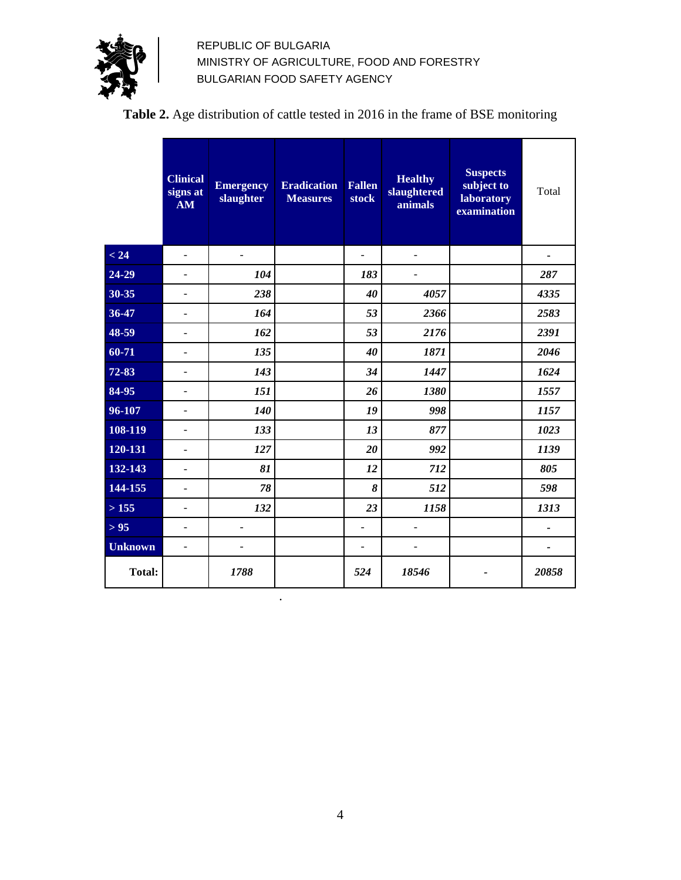

# **Table 2.** Age distribution of cattle tested in 2016 in the frame of BSE monitoring

|                | <b>Clinical</b><br>signs at<br>AM | <b>Emergency</b><br>slaughter | <b>Eradication</b><br><b>Measures</b> | <b>Fallen</b><br><b>stock</b> | <b>Healthy</b><br>slaughtered<br>animals | <b>Suspects</b><br>subject to<br>laboratory<br>examination | Total          |
|----------------|-----------------------------------|-------------------------------|---------------------------------------|-------------------------------|------------------------------------------|------------------------------------------------------------|----------------|
| < 24           | $\overline{\phantom{0}}$          | $\blacksquare$                |                                       |                               | ÷,                                       |                                                            |                |
| 24-29          | $\overline{a}$                    | 104                           |                                       | 183                           | $\overline{a}$                           |                                                            | 287            |
| 30-35          | $\overline{a}$                    | 238                           |                                       | 40                            | 4057                                     |                                                            | 4335           |
| 36-47          | $\overline{\phantom{0}}$          | 164                           |                                       | 53                            | 2366                                     |                                                            | 2583           |
| 48-59          | $\overline{a}$                    | 162                           |                                       | 53                            | 2176                                     |                                                            | 2391           |
| 60-71          | $\overline{a}$                    | 135                           |                                       | 40                            | 1871                                     |                                                            | 2046           |
| 72-83          | ÷,                                | 143                           |                                       | 34                            | 1447                                     |                                                            | 1624           |
| 84-95          | -                                 | 151                           |                                       | 26                            | 1380                                     |                                                            | 1557           |
| 96-107         | ÷,                                | 140                           |                                       | 19                            | 998                                      |                                                            | 1157           |
| 108-119        | $\overline{a}$                    | 133                           |                                       | 13                            | 877                                      |                                                            | 1023           |
| 120-131        | ÷,                                | 127                           |                                       | 20                            | 992                                      |                                                            | 1139           |
| 132-143        | $\overline{a}$                    | 81                            |                                       | 12                            | 712                                      |                                                            | 805            |
| 144-155        | $\overline{a}$                    | 78                            |                                       | 8                             | 512                                      |                                                            | 598            |
| >155           | $\overline{a}$                    | 132                           |                                       | 23                            | 1158                                     |                                                            | 1313           |
| $> 95$         | ÷,                                | $\overline{a}$                |                                       | $\overline{a}$                | $\overline{a}$                           |                                                            | $\overline{a}$ |
| <b>Unknown</b> | ÷,                                |                               |                                       | ÷,                            | $\overline{a}$                           |                                                            |                |
| <b>Total:</b>  |                                   | 1788                          |                                       | 524                           | 18546                                    |                                                            | 20858          |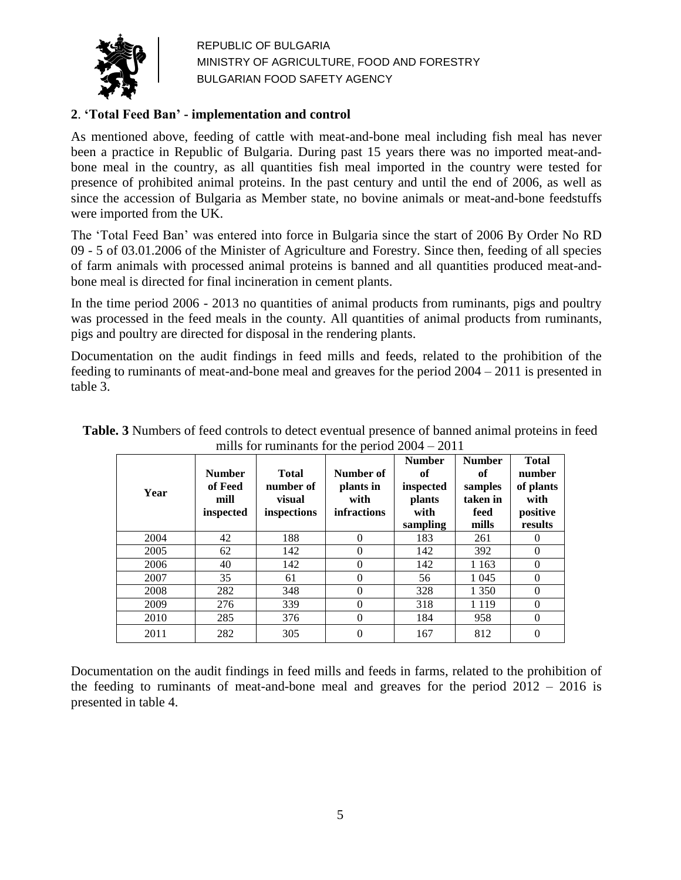

## **2**. **'Total Feed Ban' - implementation and control**

As mentioned above, feeding of cattle with meat-and-bone meal including fish meal has never been a practice in Republic of Bulgaria. During past 15 years there was no imported meat-andbone meal in the country, as all quantities fish meal imported in the country were tested for presence of prohibited animal proteins. In the past century and until the end of 2006, as well as since the accession of Bulgaria as Member state, no bovine animals or meat-and-bone feedstuffs were imported from the UK.

The 'Total Feed Ban' was entered into force in Bulgaria since the start of 2006 By Order No RD 09 - 5 of 03.01.2006 of the Minister of Agriculture and Forestry. Since then, feeding of all species of farm animals with processed animal proteins is banned and all quantities produced meat-andbone meal is directed for final incineration in cement plants.

In the time period 2006 - 2013 no quantities of animal products from ruminants, pigs and poultry was processed in the feed meals in the county. All quantities of animal products from ruminants, pigs and poultry are directed for disposal in the rendering plants.

Documentation on the audit findings in feed mills and feeds, related to the prohibition of the feeding to ruminants of meat-and-bone meal and greaves for the period 2004 – 2011 is presented in table 3.

| Year | <b>Number</b><br>of Feed<br>mill<br>inspected | <b>Total</b><br>number of<br>visual<br>inspections | Number of<br>plants in<br>with<br><b>infractions</b> | <b>Number</b><br>of<br>inspected<br><b>plants</b><br>with<br>sampling | <b>Number</b><br>of<br>samples<br>taken in<br>feed<br>mills | <b>Total</b><br>number<br>of plants<br>with<br>positive<br>results |
|------|-----------------------------------------------|----------------------------------------------------|------------------------------------------------------|-----------------------------------------------------------------------|-------------------------------------------------------------|--------------------------------------------------------------------|
| 2004 | 42                                            | 188                                                | $\theta$                                             | 183                                                                   | 261                                                         | $\Omega$                                                           |
| 2005 | 62                                            | 142                                                | $\theta$                                             | 142                                                                   | 392                                                         | $\theta$                                                           |
| 2006 | 40                                            | 142                                                | $\theta$                                             | 142                                                                   | 1 1 6 3                                                     | $\theta$                                                           |
| 2007 | 35                                            | 61                                                 | $\Omega$                                             | 56                                                                    | 1 0 4 5                                                     | $\theta$                                                           |
| 2008 | 282                                           | 348                                                | $\theta$                                             | 328                                                                   | 1 3 5 0                                                     | $\theta$                                                           |
| 2009 | 276                                           | 339                                                | $\theta$                                             | 318                                                                   | 1 1 1 9                                                     | $\theta$                                                           |
| 2010 | 285                                           | 376                                                | $\theta$                                             | 184                                                                   | 958                                                         | $\theta$                                                           |
| 2011 | 282                                           | 305                                                | $\theta$                                             | 167                                                                   | 812                                                         | 0                                                                  |

**Table. 3** Numbers of feed controls to detect eventual presence of banned animal proteins in feed mills for ruminants for the period 2004 – 2011

Documentation on the audit findings in feed mills and feeds in farms, related to the prohibition of the feeding to ruminants of meat-and-bone meal and greaves for the period  $2012 - 2016$  is presented in table 4.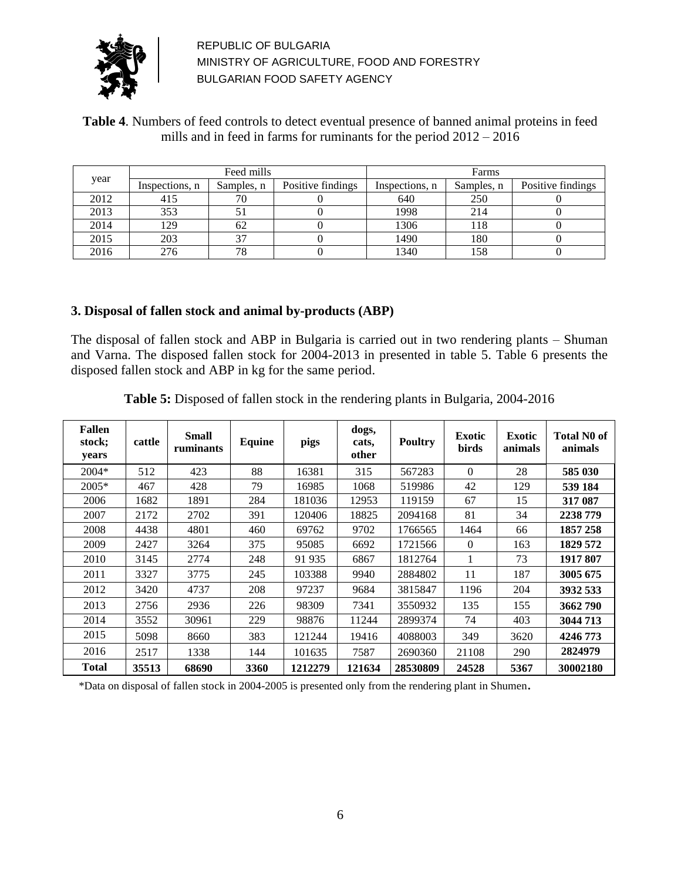

### **Table 4**. Numbers of feed controls to detect eventual presence of banned animal proteins in feed mills and in feed in farms for ruminants for the period 2012 – 2016

|      |                | Feed mills |                   | Farms          |            |                   |  |
|------|----------------|------------|-------------------|----------------|------------|-------------------|--|
| year | Inspections, n | Samples, n | Positive findings | Inspections, n | Samples, n | Positive findings |  |
| 2012 | 415            | 70         |                   | 640            | 250        |                   |  |
| 2013 | 353            |            |                   | 1998           | 214        |                   |  |
| 2014 | 129            | 62         |                   | 1306           | 118        |                   |  |
| 2015 | 203            |            |                   | 1490           | 180        |                   |  |
| 2016 | 276            | 78         |                   | 1340           | 158        |                   |  |

### **3. Disposal of fallen stock and animal by-products (ABP)**

The disposal of fallen stock and ABP in Bulgaria is carried out in two rendering plants – Shuman and Varna. The disposed fallen stock for 2004-2013 in presented in table 5. Table 6 presents the disposed fallen stock and ABP in kg for the same period.

|  | <b>Table 5:</b> Disposed of fallen stock in the rendering plants in Bulgaria, 2004-2016 |
|--|-----------------------------------------------------------------------------------------|
|--|-----------------------------------------------------------------------------------------|

| <b>Fallen</b><br>stock;<br>years | cattle | <b>Small</b><br>ruminants | Equine | pigs    | dogs,<br>cats,<br>other | <b>Poultry</b> | <b>Exotic</b><br>birds | <b>Exotic</b><br>animals | <b>Total N0 of</b><br>animals |
|----------------------------------|--------|---------------------------|--------|---------|-------------------------|----------------|------------------------|--------------------------|-------------------------------|
| $2004*$                          | 512    | 423                       | 88     | 16381   | 315                     | 567283         | $\Omega$               | 28                       | 585 030                       |
| 2005*                            | 467    | 428                       | 79     | 16985   | 1068                    | 519986         | 42                     | 129                      | 539 184                       |
| 2006                             | 1682   | 1891                      | 284    | 181036  | 12953                   | 119159         | 67                     | 15                       | 317 087                       |
| 2007                             | 2172   | 2702                      | 391    | 120406  | 18825                   | 2094168        | 81                     | 34                       | 2238 779                      |
| 2008                             | 4438   | 4801                      | 460    | 69762   | 9702                    | 1766565        | 1464                   | 66                       | 1857 258                      |
| 2009                             | 2427   | 3264                      | 375    | 95085   | 6692                    | 1721566        | $\Omega$               | 163                      | 1829 572                      |
| 2010                             | 3145   | 2774                      | 248    | 91 935  | 6867                    | 1812764        |                        | 73                       | 1917 807                      |
| 2011                             | 3327   | 3775                      | 245    | 103388  | 9940                    | 2884802        | 11                     | 187                      | 3005 675                      |
| 2012                             | 3420   | 4737                      | 208    | 97237   | 9684                    | 3815847        | 1196                   | 204                      | 3932 533                      |
| 2013                             | 2756   | 2936                      | 226    | 98309   | 7341                    | 3550932        | 135                    | 155                      | 3662790                       |
| 2014                             | 3552   | 30961                     | 229    | 98876   | 11244                   | 2899374        | 74                     | 403                      | 3044713                       |
| 2015                             | 5098   | 8660                      | 383    | 121244  | 19416                   | 4088003        | 349                    | 3620                     | 4246 773                      |
| 2016                             | 2517   | 1338                      | 144    | 101635  | 7587                    | 2690360        | 21108                  | 290                      | 2824979                       |
| <b>Total</b>                     | 35513  | 68690                     | 3360   | 1212279 | 121634                  | 28530809       | 24528                  | 5367                     | 30002180                      |

\*Data on disposal of fallen stock in 2004-2005 is presented only from the rendering plant in Shumen.